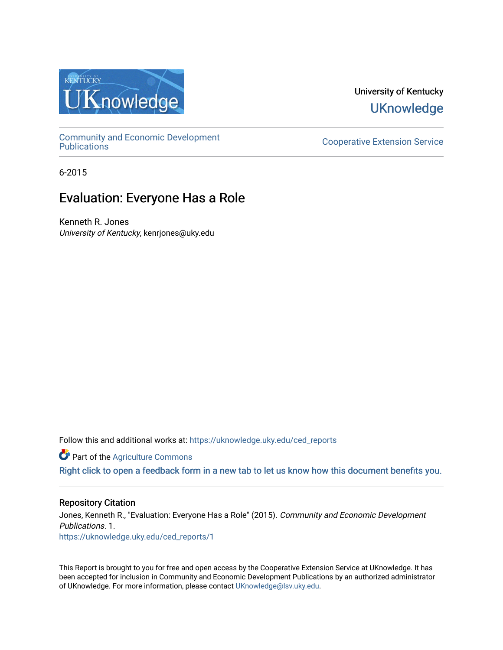

University of Kentucky **UKnowledge** 

[Community and Economic Development](https://uknowledge.uky.edu/ced_reports) 

**Cooperative Extension Service** 

6-2015

## Evaluation: Everyone Has a Role

Kenneth R. Jones University of Kentucky, kenrjones@uky.edu

Follow this and additional works at: [https://uknowledge.uky.edu/ced\\_reports](https://uknowledge.uky.edu/ced_reports?utm_source=uknowledge.uky.edu%2Fced_reports%2F1&utm_medium=PDF&utm_campaign=PDFCoverPages)

**C** Part of the [Agriculture Commons](http://network.bepress.com/hgg/discipline/1076?utm_source=uknowledge.uky.edu%2Fced_reports%2F1&utm_medium=PDF&utm_campaign=PDFCoverPages)

[Right click to open a feedback form in a new tab to let us know how this document benefits you.](https://uky.az1.qualtrics.com/jfe/form/SV_9mq8fx2GnONRfz7)

#### Repository Citation

Jones, Kenneth R., "Evaluation: Everyone Has a Role" (2015). Community and Economic Development Publications. 1. [https://uknowledge.uky.edu/ced\\_reports/1](https://uknowledge.uky.edu/ced_reports/1?utm_source=uknowledge.uky.edu%2Fced_reports%2F1&utm_medium=PDF&utm_campaign=PDFCoverPages) 

This Report is brought to you for free and open access by the Cooperative Extension Service at UKnowledge. It has been accepted for inclusion in Community and Economic Development Publications by an authorized administrator of UKnowledge. For more information, please contact [UKnowledge@lsv.uky.edu.](mailto:UKnowledge@lsv.uky.edu)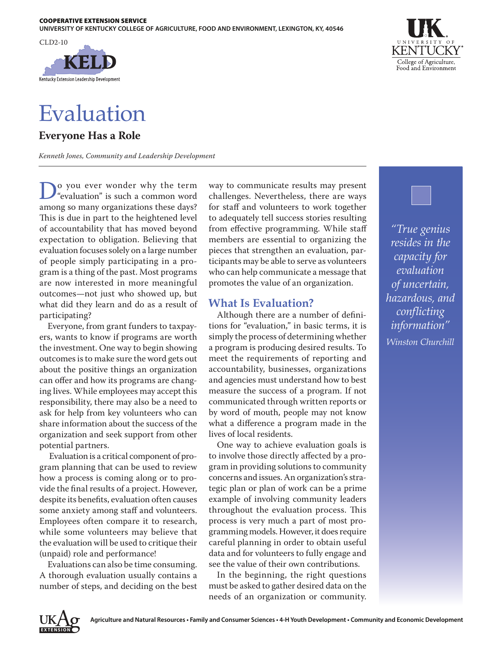

# Evaluation

**Everyone Has a Role**

*Kenneth Jones, Community and Leadership Development*

**D**<sup>o</sup> you ever wonder why the term<br>
"evaluation" is such a common word<br>
"evaluation" is such a common word among so many organizations these days? This is due in part to the heightened level of accountability that has moved beyond expectation to obligation. Believing that evaluation focuses solely on a large number of people simply participating in a program is a thing of the past. Most programs are now interested in more meaningful outcomes—not just who showed up, but what did they learn and do as a result of participating?

Everyone, from grant funders to taxpayers, wants to know if programs are worth the investment. One way to begin showing outcomes is to make sure the word gets out about the positive things an organization can offer and how its programs are changing lives. While employees may accept this responsibility, there may also be a need to ask for help from key volunteers who can share information about the success of the organization and seek support from other potential partners.

 Evaluation is a critical component of program planning that can be used to review how a process is coming along or to provide the final results of a project. However, despite its benefits, evaluation often causes some anxiety among staff and volunteers. Employees often compare it to research, while some volunteers may believe that the evaluation will be used to critique their (unpaid) role and performance!

Evaluations can also be time consuming. A thorough evaluation usually contains a number of steps, and deciding on the best way to communicate results may present challenges. Nevertheless, there are ways for staff and volunteers to work together to adequately tell success stories resulting from effective programming. While staff members are essential to organizing the pieces that strengthen an evaluation, participants may be able to serve as volunteers who can help communicate a message that promotes the value of an organization.

## **What Is Evaluation?**

Although there are a number of definitions for "evaluation," in basic terms, it is simply the process of determining whether a program is producing desired results. To meet the requirements of reporting and accountability, businesses, organizations and agencies must understand how to best measure the success of a program. If not communicated through written reports or by word of mouth, people may not know what a difference a program made in the lives of local residents.

One way to achieve evaluation goals is to involve those directly affected by a program in providing solutions to community concerns and issues. An organization's strategic plan or plan of work can be a prime example of involving community leaders throughout the evaluation process. This process is very much a part of most programming models. However, it does require careful planning in order to obtain useful data and for volunteers to fully engage and see the value of their own contributions.

In the beginning, the right questions must be asked to gather desired data on the needs of an organization or community.



*"True genius resides in the capacity for evaluation of uncertain, hazardous, and conflicting information" Winston Churchill*

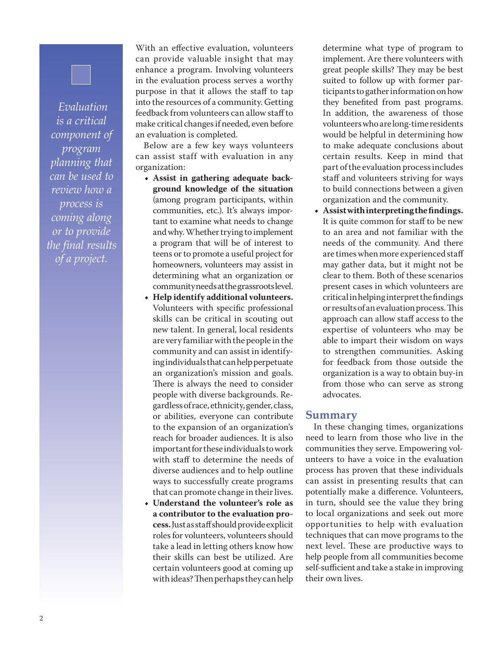*Evaluation is a critical component of program planning that can be used to review how a process is coming along or to provide the final results of a project.*

With an effective evaluation, volunteers can provide valuable insight that may enhance a program. Involving volunteers in the evaluation process serves a worthy purpose in that it allows the staff to tap into the resources of a community. Getting feedback from volunteers can allow staff to make critical changes if needed, even before an evaluation is completed.

Below are a few key ways volunteers can assist staff with evaluation in any organization:

- **• Assist in gathering adequate background knowledge of the situation**  (among program participants, within communities, etc.). It's always important to examine what needs to change and why. Whether trying to implement a program that will be of interest to teens or to promote a useful project for homeowners, volunteers may assist in determining what an organization or community needs at the grassroots level.
- **• Help identify additional volunteers.** Volunteers with specific professional skills can be critical in scouting out new talent. In general, local residents are very familiar with the people in the community and can assist in identifying individuals that can help perpetuate an organization's mission and goals. There is always the need to consider people with diverse backgrounds. Regardless of race, ethnicity, gender, class, or abilities, everyone can contribute to the expansion of an organization's reach for broader audiences. It is also important for these individuals to work with staff to determine the needs of diverse audiences and to help outline ways to successfully create programs that can promote change in their lives.
- **• Understand the volunteer's role as a contributor to the evaluation process.** Just as staff should provide explicit roles for volunteers, volunteers should take a lead in letting others know how their skills can best be utilized. Are certain volunteers good at coming up with ideas? Then perhaps they can help

determine what type of program to implement. Are there volunteers with great people skills? They may be best suited to follow up with former participants to gather information on how they benefited from past programs. In addition, the awareness of those volunteers who are long-time residents would be helpful in determining how to make adequate conclusions about certain results. Keep in mind that part of the evaluation process includes staff and volunteers striving for ways to build connections between a given organization and the community.

**• Assist with interpreting the findings.**  It is quite common for staff to be new to an area and not familiar with the needs of the community. And there are times when more experienced staff may gather data, but it might not be clear to them. Both of these scenarios present cases in which volunteers are critical in helping interpret the findings or results of an evaluation process. This approach can allow staff access to the expertise of volunteers who may be able to impart their wisdom on ways to strengthen communities. Asking for feedback from those outside the organization is a way to obtain buy-in from those who can serve as strong advocates.

### **Summary**

In these changing times, organizations need to learn from those who live in the communities they serve. Empowering volunteers to have a voice in the evaluation process has proven that these individuals can assist in presenting results that can potentially make a difference. Volunteers, in turn, should see the value they bring to local organizations and seek out more opportunities to help with evaluation techniques that can move programs to the next level. These are productive ways to help people from all communities become self-sufficient and take a stake in improving their own lives.